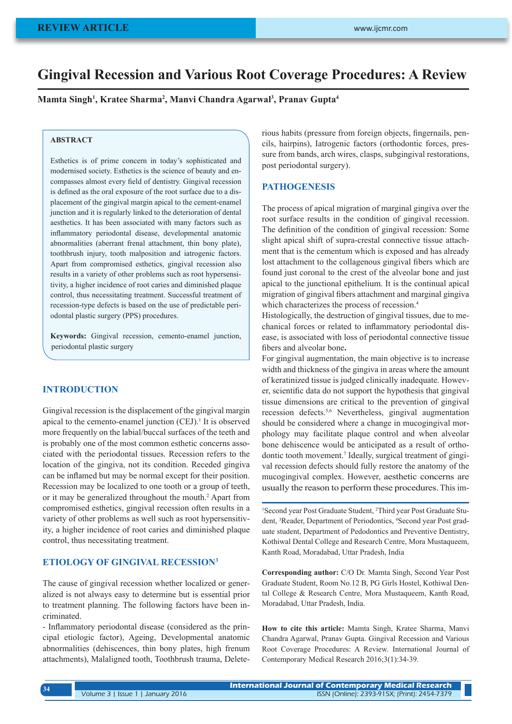# **Gingival Recession and Various Root Coverage Procedures: A Review**

**Mamta Singh1 , Kratee Sharma2 , Manvi Chandra Agarwal3 , Pranav Gupta4**

#### **ABSTRACT**

Esthetics is of prime concern in today's sophisticated and modernised society. Esthetics is the science of beauty and encompasses almost every field of dentistry. Gingival recession is defined as the oral exposure of the root surface due to a displacement of the gingival margin apical to the cement-enamel junction and it is regularly linked to the deterioration of dental aesthetics. It has been associated with many factors such as inflammatory periodontal disease, developmental anatomic abnormalities (aberrant frenal attachment, thin bony plate), toothbrush injury, tooth malposition and iatrogenic factors. Apart from compromised esthetics, gingival recession also results in a variety of other problems such as root hypersensitivity, a higher incidence of root caries and diminished plaque control, thus necessitating treatment. Successful treatment of recession-type defects is based on the use of predictable periodontal plastic surgery (PPS) procedures.

**Keywords:** Gingival recession, cemento-enamel junction, periodontal plastic surgery

# **INTRODUCTION**

Gingival recession is the displacement of the gingival margin apical to the cemento-enamel junction  $(CEJ)$ .<sup>1</sup> It is observed more frequently on the labial/buccal surfaces of the teeth and is probably one of the most common esthetic concerns associated with the periodontal tissues. Recession refers to the location of the gingiva, not its condition. Receded gingiva can be inflamed but may be normal except for their position. Recession may be localized to one tooth or a group of teeth, or it may be generalized throughout the mouth.<sup>2</sup> Apart from compromised esthetics, gingival recession often results in a variety of other problems as well such as root hypersensitivity, a higher incidence of root caries and diminished plaque control, thus necessitating treatment.

#### **ETIOLOGY OF GINGIVAL RECESSION3**

The cause of gingival recession whether localized or generalized is not always easy to determine but is essential prior to treatment planning. The following factors have been incriminated.

- Inflammatory periodontal disease (considered as the principal etiologic factor), Ageing, Developmental anatomic abnormalities (dehiscences, thin bony plates, high frenum attachments), Malaligned tooth, Toothbrush trauma, Deleterious habits (pressure from foreign objects, fingernails, pencils, hairpins), Iatrogenic factors (orthodontic forces, pressure from bands, arch wires, clasps, subgingival restorations, post periodontal surgery).

## **PATHOGENESIS**

The process of apical migration of marginal gingiva over the root surface results in the condition of gingival recession. The definition of the condition of gingival recession: Some slight apical shift of supra-crestal connective tissue attachment that is the cementum which is exposed and has already lost attachment to the collagenous gingival fibers which are found just coronal to the crest of the alveolar bone and just apical to the junctional epithelium. It is the continual apical migration of gingival fibers attachment and marginal gingiva which characterizes the process of recession.<sup>4</sup>

Histologically, the destruction of gingival tissues, due to mechanical forces or related to inflammatory periodontal disease, is associated with loss of periodontal connective tissue fibers and alveolar bone**.**

For gingival augmentation, the main objective is to increase width and thickness of the gingiva in areas where the amount of keratinized tissue is judged clinically inadequate. However, scientific data do not support the hypothesis that gingival tissue dimensions are critical to the prevention of gingival recession defects.5,6 Nevertheless, gingival augmentation should be considered where a change in mucogingival morphology may facilitate plaque control and when alveolar bone dehiscence would be anticipated as a result of orthodontic tooth movement.<sup>7</sup> Ideally, surgical treatment of gingival recession defects should fully restore the anatomy of the mucogingival complex. However, aesthetic concerns are usually the reason to perform these procedures. This im-

1 Second year Post Graduate Student, <sup>2</sup> Third year Post Graduate Student, <sup>3</sup>Reader, Department of Periodontics, <sup>4</sup>Second year Post graduate student, Department of Pedodontics and Preventive Dentistry, Kothiwal Dental College and Research Centre, Mora Mustaqueem, Kanth Road, Moradabad, Uttar Pradesh, India

**Corresponding author:** C/O Dr. Mamta Singh, Second Year Post Graduate Student, Room No.12 B, PG Girls Hostel, Kothiwal Dental College & Research Centre, Mora Mustaqueem, Kanth Road, Moradabad, Uttar Pradesh, India.

**How to cite this article:** Mamta Singh, Kratee Sharma, Manvi Chandra Agarwal, Pranav Gupta. Gingival Recession and Various Root Coverage Procedures: A Review. International Journal of Contemporary Medical Research 2016;3(1):34-39.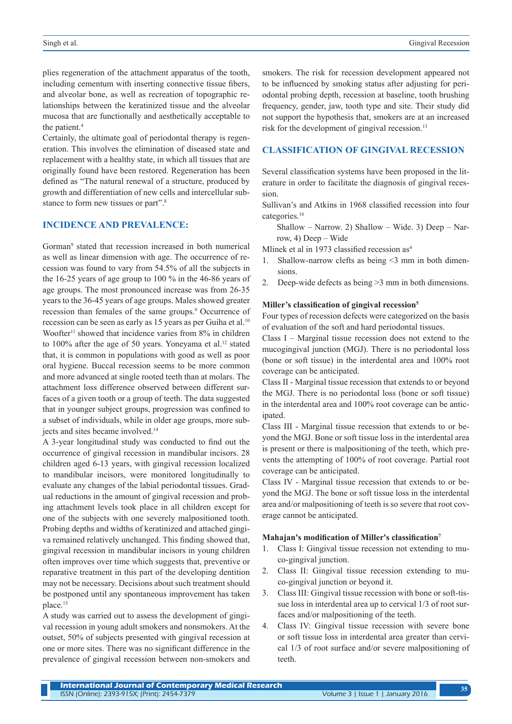plies regeneration of the attachment apparatus of the tooth, including cementum with inserting connective tissue fibers, and alveolar bone, as well as recreation of topographic relationships between the keratinized tissue and the alveolar mucosa that are functionally and aesthetically acceptable to the patient.<sup>4</sup>

Certainly, the ultimate goal of periodontal therapy is regeneration. This involves the elimination of diseased state and replacement with a healthy state, in which all tissues that are originally found have been restored. Regeneration has been defined as "The natural renewal of a structure, produced by growth and differentiation of new cells and intercellular substance to form new tissues or part".<sup>8</sup>

# **INCIDENCE AND PREVALENCE:**

Gorman9 stated that recession increased in both numerical as well as linear dimension with age. The occurrence of recession was found to vary from 54.5% of all the subjects in the 16-25 years of age group to 100 % in the 46-86 years of age groups. The most pronounced increase was from 26-35 years to the 36-45 years of age groups. Males showed greater recession than females of the same groups.<sup>9</sup> Occurrence of recession can be seen as early as 15 years as per Guiha et al.<sup>10</sup> Woofter<sup>11</sup> showed that incidence varies from 8% in children to 100% after the age of 50 years. Yoneyama et al.<sup>12</sup> stated that, it is common in populations with good as well as poor oral hygiene. Buccal recession seems to be more common and more advanced at single rooted teeth than at molars. The attachment loss difference observed between different surfaces of a given tooth or a group of teeth. The data suggested that in younger subject groups, progression was confined to a subset of individuals, while in older age groups, more subjects and sites became involved.14

A 3-year longitudinal study was conducted to find out the occurrence of gingival recession in mandibular incisors. 28 children aged 6-13 years, with gingival recession localized to mandibular incisors, were monitored longitudinally to evaluate any changes of the labial periodontal tissues. Gradual reductions in the amount of gingival recession and probing attachment levels took place in all children except for one of the subjects with one severely malpositioned tooth. Probing depths and widths of keratinized and attached gingiva remained relatively unchanged. This finding showed that, gingival recession in mandibular incisors in young children often improves over time which suggests that, preventive or reparative treatment in this part of the developing dentition may not be necessary. Decisions about such treatment should be postponed until any spontaneous improvement has taken place.15

A study was carried out to assess the development of gingival recession in young adult smokers and nonsmokers. At the outset, 50% of subjects presented with gingival recession at one or more sites. There was no significant difference in the prevalence of gingival recession between non-smokers and smokers. The risk for recession development appeared not to be influenced by smoking status after adjusting for periodontal probing depth, recession at baseline, tooth brushing frequency, gender, jaw, tooth type and site. Their study did not support the hypothesis that, smokers are at an increased risk for the development of gingival recession.<sup>13</sup>

# **CLASSIFICATION OF GINGIVAL RECESSION**

Several classification systems have been proposed in the literature in order to facilitate the diagnosis of gingival recession.

Sullivan's and Atkins in 1968 classified recession into four categories.16

Shallow – Narrow. 2) Shallow – Wide. 3) Deep – Narrow, 4) Deep – Wide

Mlinek et al in 1973 classified recession as<sup>4</sup>

- 1. Shallow-narrow clefts as being <3 mm in both dimensions.
- 2. Deep-wide defects as being >3 mm in both dimensions.

#### **Miller's classification of gingival recession<sup>5</sup>**

Four types of recession defects were categorized on the basis of evaluation of the soft and hard periodontal tissues.

Class I – Marginal tissue recession does not extend to the mucogingival junction (MGJ). There is no periodontal loss (bone or soft tissue) in the interdental area and 100% root coverage can be anticipated.

Class II - Marginal tissue recession that extends to or beyond the MGJ. There is no periodontal loss (bone or soft tissue) in the interdental area and 100% root coverage can be anticipated.

Class III - Marginal tissue recession that extends to or beyond the MGJ. Bone or soft tissue loss in the interdental area is present or there is malpositioning of the teeth, which prevents the attempting of 100% of root coverage. Partial root coverage can be anticipated.

Class IV - Marginal tissue recession that extends to or beyond the MGJ. The bone or soft tissue loss in the interdental area and/or malpositioning of teeth is so severe that root coverage cannot be anticipated.

#### **Mahajan's modification of Miller's classification<sup>7</sup>**

- 1. Class I: Gingival tissue recession not extending to muco-gingival junction.
- 2. Class II: Gingival tissue recession extending to muco-gingival junction or beyond it.
- 3. Class III: Gingival tissue recession with bone or soft-tissue loss in interdental area up to cervical 1/3 of root surfaces and/or malpositioning of the teeth.
- 4. Class IV: Gingival tissue recession with severe bone or soft tissue loss in interdental area greater than cervical 1/3 of root surface and/or severe malpositioning of teeth.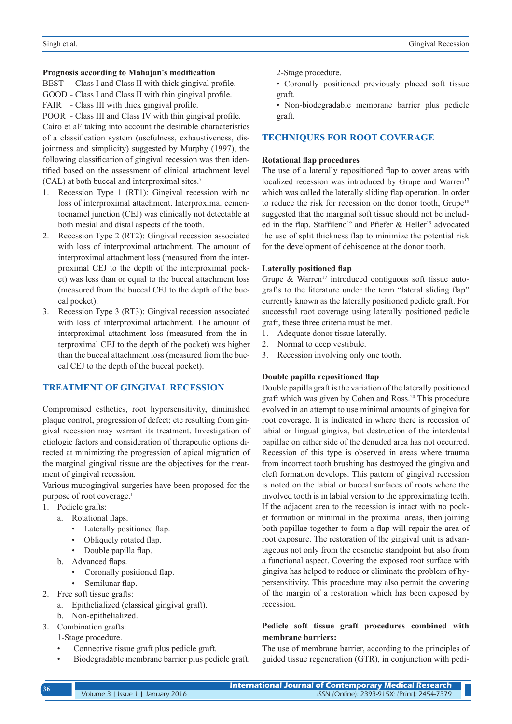#### **Prognosis according to Mahajan's modification**

BEST - Class I and Class II with thick gingival profile.

GOOD - Class I and Class II with thin gingival profile.

FAIR - Class III with thick gingival profile.

POOR - Class III and Class IV with thin gingival profile. Cairo et al<sup>7</sup> taking into account the desirable characteristics of a classification system (usefulness, exhaustiveness, disjointness and simplicity) suggested by Murphy (1997), the following classification of gingival recession was then identified based on the assessment of clinical attachment level (CAL) at both buccal and interproximal sites.<sup>7</sup>

- 1. Recession Type 1 (RT1): Gingival recession with no loss of interproximal attachment. Interproximal cementoenamel junction (CEJ) was clinically not detectable at both mesial and distal aspects of the tooth.
- 2. Recession Type 2 (RT2): Gingival recession associated with loss of interproximal attachment. The amount of interproximal attachment loss (measured from the interproximal CEJ to the depth of the interproximal pocket) was less than or equal to the buccal attachment loss (measured from the buccal CEJ to the depth of the buccal pocket).
- 3. Recession Type 3 (RT3): Gingival recession associated with loss of interproximal attachment. The amount of interproximal attachment loss (measured from the interproximal CEJ to the depth of the pocket) was higher than the buccal attachment loss (measured from the buccal CEJ to the depth of the buccal pocket).

# **TREATMENT OF GINGIVAL RECESSION**

Compromised esthetics, root hypersensitivity, diminished plaque control, progression of defect; etc resulting from gingival recession may warrant its treatment. Investigation of etiologic factors and consideration of therapeutic options directed at minimizing the progression of apical migration of the marginal gingival tissue are the objectives for the treatment of gingival recession.

Various mucogingival surgeries have been proposed for the purpose of root coverage.<sup>1</sup>

- 1. Pedicle grafts:
	- a. Rotational flaps.
		- Laterally positioned flap.
		- Obliquely rotated flap.
		- Double papilla flap.
	- b. Advanced flaps.
		- Coronally positioned flap.
		- Semilunar flap.
- 2. Free soft tissue grafts:
	- a. Epithelialized (classical gingival graft).
- b. Non-epithelialized.
- 3. Combination grafts:
	- 1-Stage procedure.
	- Connective tissue graft plus pedicle graft.
	- Biodegradable membrane barrier plus pedicle graft.
- 2-Stage procedure.
- Coronally positioned previously placed soft tissue graft.

• Non-biodegradable membrane barrier plus pedicle graft.

## **TECHNIQUES FOR ROOT COVERAGE**

#### **Rotational flap procedures**

The use of a laterally repositioned flap to cover areas with localized recession was introduced by Grupe and Warren<sup>17</sup> which was called the laterally sliding flap operation. In order to reduce the risk for recession on the donor tooth, Grupe<sup>18</sup> suggested that the marginal soft tissue should not be included in the flap. Staffileno<sup>19</sup> and Pfiefer & Heller<sup>19</sup> advocated the use of split thickness flap to minimize the potential risk for the development of dehiscence at the donor tooth.

## **Laterally positioned flap**

Grupe  $\&$  Warren<sup>17</sup> introduced contiguous soft tissue autografts to the literature under the term "lateral sliding flap" currently known as the laterally positioned pedicle graft. For successful root coverage using laterally positioned pedicle graft, these three criteria must be met.

- 1. Adequate donor tissue laterally.
- 2. Normal to deep vestibule.
- 3. Recession involving only one tooth.

#### **Double papilla repositioned flap**

Double papilla graft is the variation of the laterally positioned graft which was given by Cohen and Ross.20 This procedure evolved in an attempt to use minimal amounts of gingiva for root coverage. It is indicated in where there is recession of labial or lingual gingiva, but destruction of the interdental papillae on either side of the denuded area has not occurred. Recession of this type is observed in areas where trauma from incorrect tooth brushing has destroyed the gingiva and cleft formation develops. This pattern of gingival recession is noted on the labial or buccal surfaces of roots where the involved tooth is in labial version to the approximating teeth. If the adjacent area to the recession is intact with no pocket formation or minimal in the proximal areas, then joining both papillae together to form a flap will repair the area of root exposure. The restoration of the gingival unit is advantageous not only from the cosmetic standpoint but also from a functional aspect. Covering the exposed root surface with gingiva has helped to reduce or eliminate the problem of hypersensitivity. This procedure may also permit the covering of the margin of a restoration which has been exposed by recession.

# **Pedicle soft tissue graft procedures combined with membrane barriers:**

The use of membrane barrier, according to the principles of guided tissue regeneration (GTR), in conjunction with pedi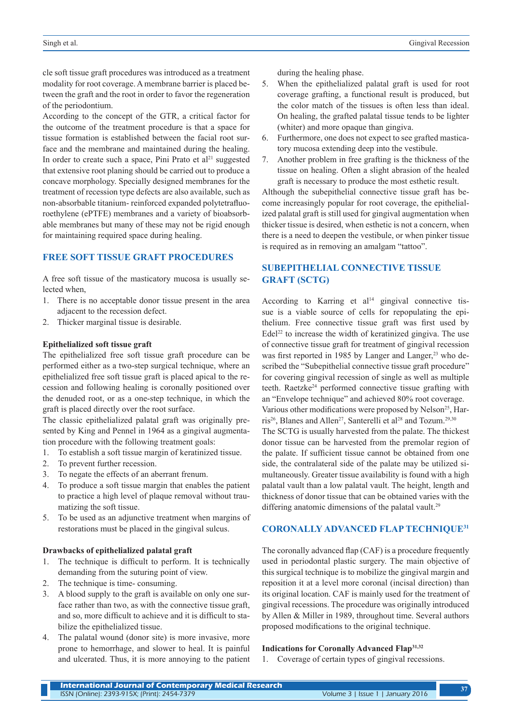cle soft tissue graft procedures was introduced as a treatment modality for root coverage. A membrane barrier is placed between the graft and the root in order to favor the regeneration of the periodontium.

According to the concept of the GTR, a critical factor for the outcome of the treatment procedure is that a space for tissue formation is established between the facial root surface and the membrane and maintained during the healing. In order to create such a space, Pini Prato et  $al<sup>21</sup>$  suggested that extensive root planing should be carried out to produce a concave morphology. Specially designed membranes for the treatment of recession type defects are also available, such as non-absorbable titanium- reinforced expanded polytetrafluoroethylene (ePTFE) membranes and a variety of bioabsorbable membranes but many of these may not be rigid enough for maintaining required space during healing.

# **FREE SOFT TISSUE GRAFT PROCEDURES**

A free soft tissue of the masticatory mucosa is usually selected when,

- 1. There is no acceptable donor tissue present in the area adjacent to the recession defect.
- 2. Thicker marginal tissue is desirable.

#### **Epithelialized soft tissue graft**

The epithelialized free soft tissue graft procedure can be performed either as a two-step surgical technique, where an epithelialized free soft tissue graft is placed apical to the recession and following healing is coronally positioned over the denuded root, or as a one-step technique, in which the graft is placed directly over the root surface.

The classic epithelialized palatal graft was originally presented by King and Pennel in 1964 as a gingival augmentation procedure with the following treatment goals:

- 1. To establish a soft tissue margin of keratinized tissue.
- 2. To prevent further recession.
- 3. To negate the effects of an aberrant frenum.
- 4. To produce a soft tissue margin that enables the patient to practice a high level of plaque removal without traumatizing the soft tissue.
- 5. To be used as an adjunctive treatment when margins of restorations must be placed in the gingival sulcus.

## **Drawbacks of epithelialized palatal graft**

- 1. The technique is difficult to perform. It is technically demanding from the suturing point of view.
- 2. The technique is time- consuming.
- 3. A blood supply to the graft is available on only one surface rather than two, as with the connective tissue graft, and so, more difficult to achieve and it is difficult to stabilize the epithelialized tissue.
- 4. The palatal wound (donor site) is more invasive, more prone to hemorrhage, and slower to heal. It is painful and ulcerated. Thus, it is more annoying to the patient

during the healing phase.

- 5. When the epithelialized palatal graft is used for root coverage grafting, a functional result is produced, but the color match of the tissues is often less than ideal. On healing, the grafted palatal tissue tends to be lighter (whiter) and more opaque than gingiva.
- 6. Furthermore, one does not expect to see grafted masticatory mucosa extending deep into the vestibule.
- 7. Another problem in free grafting is the thickness of the tissue on healing. Often a slight abrasion of the healed graft is necessary to produce the most esthetic result.

Although the subepithelial connective tissue graft has become increasingly popular for root coverage, the epithelialized palatal graft is still used for gingival augmentation when thicker tissue is desired, when esthetic is not a concern, when there is a need to deepen the vestibule, or when pinker tissue is required as in removing an amalgam "tattoo".

# **SUBEPITHELIAL CONNECTIVE TISSUE GRAFT (SCTG)**

According to Karring et  $al<sup>14</sup>$  gingival connective tissue is a viable source of cells for repopulating the epithelium. Free connective tissue graft was first used by Edel<sup>22</sup> to increase the width of keratinized gingiva. The use of connective tissue graft for treatment of gingival recession was first reported in 1985 by Langer and Langer,<sup>23</sup> who described the "Subepithelial connective tissue graft procedure" for covering gingival recession of single as well as multiple teeth. Raetzke<sup>24</sup> performed connective tissue grafting with an "Envelope technique" and achieved 80% root coverage. Various other modifications were proposed by Nelson<sup>25</sup>, Harris<sup>26</sup>, Blanes and Allen<sup>27</sup>, Santerelli et al<sup>28</sup> and Tozum.<sup>29,30</sup> The SCTG is usually harvested from the palate. The thickest donor tissue can be harvested from the premolar region of the palate. If sufficient tissue cannot be obtained from one side, the contralateral side of the palate may be utilized simultaneously. Greater tissue availability is found with a high palatal vault than a low palatal vault. The height, length and thickness of donor tissue that can be obtained varies with the differing anatomic dimensions of the palatal vault.<sup>29</sup>

#### **CORONALLY ADVANCED FLAP TECHNIQUE31**

The coronally advanced flap (CAF) is a procedure frequently used in periodontal plastic surgery. The main objective of this surgical technique is to mobilize the gingival margin and reposition it at a level more coronal (incisal direction) than its original location. CAF is mainly used for the treatment of gingival recessions. The procedure was originally introduced by Allen & Miller in 1989, throughout time. Several authors proposed modifications to the original technique.

#### **Indications for Coronally Advanced Flap31,32**

1. Coverage of certain types of gingival recessions.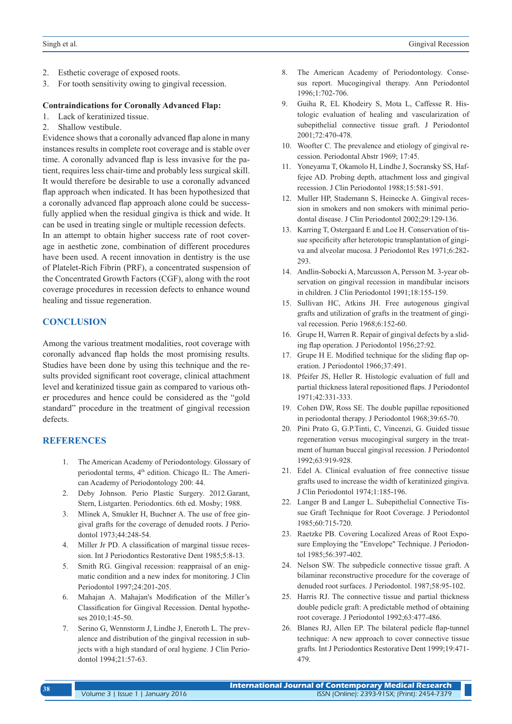- 2. Esthetic coverage of exposed roots.
- 3. For tooth sensitivity owing to gingival recession.

#### **Contraindications for Coronally Advanced Flap:**

- 1. Lack of keratinized tissue.
- 2. Shallow vestibule.

Evidence shows that a coronally advanced flap alone in many instances results in complete root coverage and is stable over time. A coronally advanced flap is less invasive for the patient, requires less chair-time and probably less surgical skill. It would therefore be desirable to use a coronally advanced flap approach when indicated. It has been hypothesized that a coronally advanced flap approach alone could be successfully applied when the residual gingiva is thick and wide. It can be used in treating single or multiple recession defects. In an attempt to obtain higher success rate of root coverage in aesthetic zone, combination of different procedures have been used. A recent innovation in dentistry is the use of Platelet-Rich Fibrin (PRF), a concentrated suspension of

the Concentrated Growth Factors (CGF), along with the root coverage procedures in recession defects to enhance wound healing and tissue regeneration.

## **CONCLUSION**

Among the various treatment modalities, root coverage with coronally advanced flap holds the most promising results. Studies have been done by using this technique and the results provided significant root coverage, clinical attachment level and keratinized tissue gain as compared to various other procedures and hence could be considered as the "gold standard" procedure in the treatment of gingival recession defects.

## **REFERENCES**

- 1. The American Academy of Periodontology. Glossary of periodontal terms, 4<sup>th</sup> edition. Chicago IL: The American Academy of Periodontology 200: 44.
- 2. Deby Johnson. Perio Plastic Surgery. 2012.Garant, Stern, Listgarten. Periodontics. 6th ed. Mosby; 1988.
- 3. Mlinek A, Smukler H, Buchner A. The use of free gingival grafts for the coverage of denuded roots. J Periodontol 1973;44:248-54.
- 4. Miller Jr PD. A classification of marginal tissue recession. Int J Periodontics Restorative Dent 1985;5:8-13.
- 5. Smith RG. Gingival recession: reappraisal of an enigmatic condition and a new index for monitoring. J Clin Periodontol 1997;24:201-205.
- 6. Mahajan A. Mahajan's Modification of the Miller's Classification for Gingival Recession. Dental hypotheses 2010;1:45-50.
- 7. Serino G, Wennstorm J, Lindhe J, Eneroth L. The prevalence and distribution of the gingival recession in subjects with a high standard of oral hygiene. J Clin Periodontol 1994;21:57-63.
- 8. The American Academy of Periodontology. Consesus report. Mucogingival therapy. Ann Periodontol 1996;1:702-706.
- 9. Guiha R, EL Khodeiry S, Mota L, Caffesse R. Histologic evaluation of healing and vascularization of subepithelial connective tissue graft. J Periodontol 2001;72:470-478.
- 10. Woofter C. The prevalence and etiology of gingival recession. Periodontal Abstr 1969; 17:45.
- 11. Yoneyama T, Okamolo H, Lindhe J, Socransky SS, Haffejee AD. Probing depth, attachment loss and gingival recession. J Clin Periodontol 1988;15:581-591.
- 12. Muller HP, Stademann S, Heinecke A. Gingival recession in smokers and non smokers with minimal periodontal disease. J Clin Periodontol 2002;29:129-136.
- 13. Karring T, Ostergaard E and Loe H. Conservation of tissue specificity after heterotopic transplantation of gingiva and alveolar mucosa. J Periodontol Res 1971;6:282- 293.
- 14. Andlin-Sobocki A, Marcusson A, Persson M. 3-year observation on gingival recession in mandibular incisors in children. J Clin Periodontol 1991;18:155-159.
- 15. Sullivan HC, Atkins JH. Free autogenous gingival grafts and utilization of grafts in the treatment of gingival recession. Perio 1968;6:152-60.
- 16. Grupe H, Warren R. Repair of gingival defects by a sliding flap operation. J Periodontol 1956;27:92.
- 17. Grupe H E. Modified technique for the sliding flap operation. J Periodontol 1966;37:491.
- 18. Pfeifer JS, Heller R. Histologic evaluation of full and partial thickness lateral repositioned flaps. J Periodontol 1971;42:331-333.
- 19. Cohen DW, Ross SE. The double papillae repositioned in periodontal therapy. J Periodontol 1968;39:65-70.
- 20. Pini Prato G, G.P.Tinti, C, Vincenzi, G. Guided tissue regeneration versus mucogingival surgery in the treatment of human buccal gingival recession. J Periodontol 1992;63:919-928.
- 21. Edel A. Clinical evaluation of free connective tissue grafts used to increase the width of keratinized gingiva. J Clin Periodontol 1974;1:185-196.
- 22. Langer B and Langer L. Subepithelial Connective Tissue Graft Technique for Root Coverage. J Periodontol 1985;60:715-720.
- 23. Raetzke PB. Covering Localized Areas of Root Exposure Employing the "Envelope" Technique. J Periodontol 1985;56:397-402.
- 24. Nelson SW. The subpedicle connective tissue graft. A bilaminar reconstructive procedure for the coverage of denuded root surfaces. J Periodontol. 1987;58:95-102.
- 25. Harris RJ. The connective tissue and partial thickness double pedicle graft: A predictable method of obtaining root coverage. J Periodontol 1992;63:477-486.
- 26. Blanes RJ, Allen EP. The bilateral pedicle flap-tunnel technique: A new approach to cover connective tissue grafts. Int J Periodontics Restorative Dent 1999;19:471- 479.